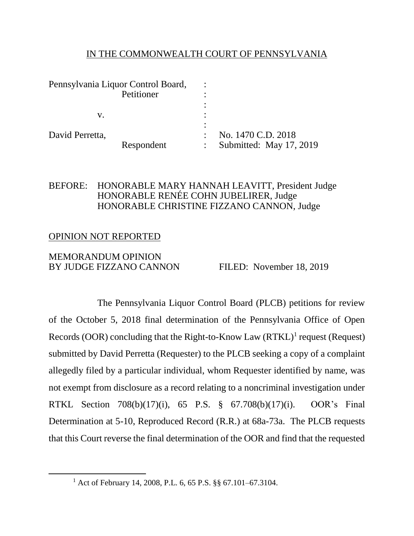#### IN THE COMMONWEALTH COURT OF PENNSYLVANIA

| Pennsylvania Liquor Control Board, |            |                         |
|------------------------------------|------------|-------------------------|
| Petitioner                         |            |                         |
|                                    |            |                         |
| v.                                 |            |                         |
|                                    |            |                         |
| David Perretta,                    |            | No. 1470 C.D. 2018      |
|                                    | Respondent | Submitted: May 17, 2019 |

## BEFORE: HONORABLE MARY HANNAH LEAVITT, President Judge HONORABLE RENÉE COHN JUBELIRER, Judge HONORABLE CHRISTINE FIZZANO CANNON, Judge

# OPINION NOT REPORTED

 $\overline{a}$ 

#### MEMORANDUM OPINION BY JUDGE FIZZANO CANNON FILED: November 18, 2019

The Pennsylvania Liquor Control Board (PLCB) petitions for review of the October 5, 2018 final determination of the Pennsylvania Office of Open Records (OOR) concluding that the Right-to-Know Law (RTKL)<sup>1</sup> request (Request) submitted by David Perretta (Requester) to the PLCB seeking a copy of a complaint allegedly filed by a particular individual, whom Requester identified by name, was not exempt from disclosure as a record relating to a noncriminal investigation under RTKL Section 708(b)(17)(i), 65 P.S. § 67.708(b)(17)(i). OOR's Final Determination at 5-10, Reproduced Record (R.R.) at 68a-73a. The PLCB requests that this Court reverse the final determination of the OOR and find that the requested

<sup>1</sup> Act of February 14, 2008, P.L. 6, 65 P.S. §§ 67.101–67.3104.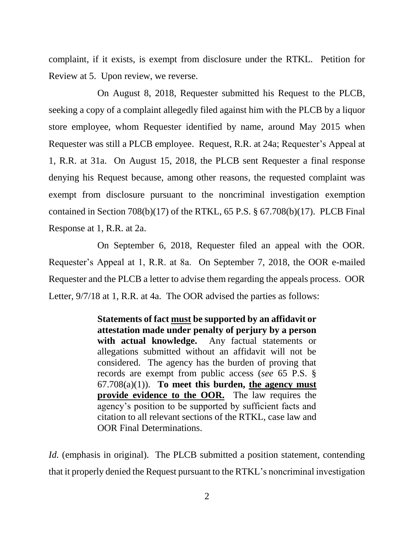complaint, if it exists, is exempt from disclosure under the RTKL. Petition for Review at 5. Upon review, we reverse.

On August 8, 2018, Requester submitted his Request to the PLCB, seeking a copy of a complaint allegedly filed against him with the PLCB by a liquor store employee, whom Requester identified by name, around May 2015 when Requester was still a PLCB employee. Request, R.R. at 24a; Requester's Appeal at 1, R.R. at 31a. On August 15, 2018, the PLCB sent Requester a final response denying his Request because, among other reasons, the requested complaint was exempt from disclosure pursuant to the noncriminal investigation exemption contained in Section 708(b)(17) of the RTKL, 65 P.S.  $\S$  67.708(b)(17). PLCB Final Response at 1, R.R. at 2a.

On September 6, 2018, Requester filed an appeal with the OOR. Requester's Appeal at 1, R.R. at 8a. On September 7, 2018, the OOR e-mailed Requester and the PLCB a letter to advise them regarding the appeals process. OOR Letter, 9/7/18 at 1, R.R. at 4a. The OOR advised the parties as follows:

> **Statements of fact must be supported by an affidavit or attestation made under penalty of perjury by a person with actual knowledge.** Any factual statements or allegations submitted without an affidavit will not be considered. The agency has the burden of proving that records are exempt from public access (*see* 65 P.S. § 67.708(a)(1)). **To meet this burden, the agency must provide evidence to the OOR.** The law requires the agency's position to be supported by sufficient facts and citation to all relevant sections of the RTKL, case law and OOR Final Determinations.

*Id.* (emphasis in original). The PLCB submitted a position statement, contending that it properly denied the Request pursuant to the RTKL's noncriminal investigation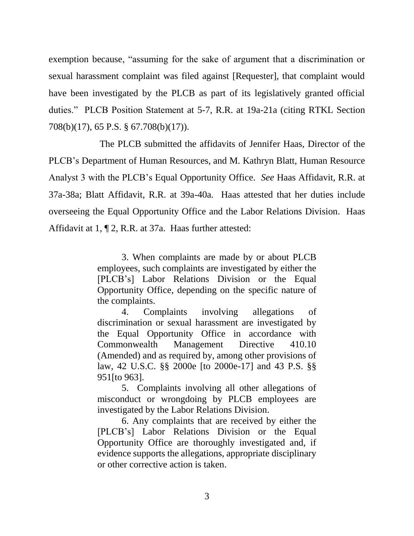exemption because, "assuming for the sake of argument that a discrimination or sexual harassment complaint was filed against [Requester], that complaint would have been investigated by the PLCB as part of its legislatively granted official duties." PLCB Position Statement at 5-7, R.R. at 19a-21a (citing RTKL Section 708(b)(17), 65 P.S. § 67.708(b)(17)).

The PLCB submitted the affidavits of Jennifer Haas, Director of the PLCB's Department of Human Resources, and M. Kathryn Blatt, Human Resource Analyst 3 with the PLCB's Equal Opportunity Office. *See* Haas Affidavit, R.R. at 37a-38a; Blatt Affidavit, R.R. at 39a-40a. Haas attested that her duties include overseeing the Equal Opportunity Office and the Labor Relations Division. Haas Affidavit at 1, ¶ 2, R.R. at 37a. Haas further attested:

> 3. When complaints are made by or about PLCB employees, such complaints are investigated by either the [PLCB's] Labor Relations Division or the Equal Opportunity Office, depending on the specific nature of the complaints.

> 4. Complaints involving allegations of discrimination or sexual harassment are investigated by the Equal Opportunity Office in accordance with Commonwealth Management Directive 410.10 (Amended) and as required by, among other provisions of law, 42 U.S.C. §§ 2000e [to 2000e-17] and 43 P.S. §§ 951[to 963].

> 5. Complaints involving all other allegations of misconduct or wrongdoing by PLCB employees are investigated by the Labor Relations Division.

> 6. Any complaints that are received by either the [PLCB's] Labor Relations Division or the Equal Opportunity Office are thoroughly investigated and, if evidence supports the allegations, appropriate disciplinary or other corrective action is taken.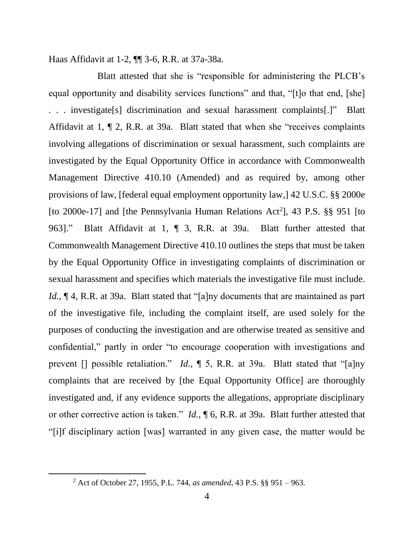Haas Affidavit at 1-2, ¶¶ 3-6, R.R. at 37a-38a.

Blatt attested that she is "responsible for administering the PLCB's equal opportunity and disability services functions" and that, "[t]o that end, [she] . . . investigate[s] discrimination and sexual harassment complaints[.]" Blatt Affidavit at 1, ¶ 2, R.R. at 39a. Blatt stated that when she "receives complaints involving allegations of discrimination or sexual harassment, such complaints are investigated by the Equal Opportunity Office in accordance with Commonwealth Management Directive 410.10 (Amended) and as required by, among other provisions of law, [federal equal employment opportunity law,] 42 U.S.C. §§ 2000e [to 2000e-17] and [the Pennsylvania Human Relations Act<sup>2</sup>], 43 P.S.  $\S$ § 951 [to 963]." Blatt Affidavit at 1, ¶ 3, R.R. at 39a. Blatt further attested that Commonwealth Management Directive 410.10 outlines the steps that must be taken by the Equal Opportunity Office in investigating complaints of discrimination or sexual harassment and specifies which materials the investigative file must include. *Id.*,  $\P$  4, R.R. at 39a. Blatt stated that "[a]ny documents that are maintained as part of the investigative file, including the complaint itself, are used solely for the purposes of conducting the investigation and are otherwise treated as sensitive and confidential," partly in order "to encourage cooperation with investigations and prevent [] possible retaliation." *Id.*, ¶ 5, R.R. at 39a. Blatt stated that "[a]ny complaints that are received by [the Equal Opportunity Office] are thoroughly investigated and, if any evidence supports the allegations, appropriate disciplinary or other corrective action is taken." *Id.*, ¶ 6, R.R. at 39a. Blatt further attested that "[i]f disciplinary action [was] warranted in any given case, the matter would be

<sup>2</sup> Act of October 27, 1955, P.L. 744, *as amended*, 43 P.S. §§ 951 – 963.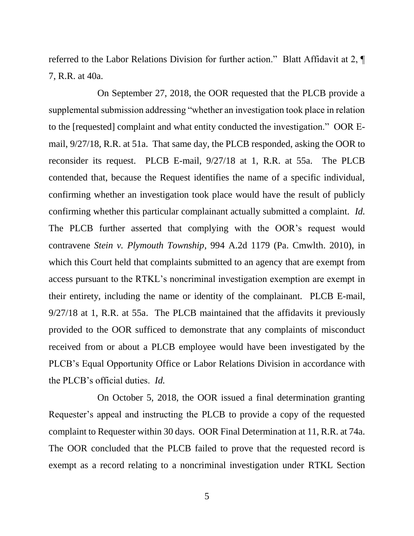referred to the Labor Relations Division for further action." Blatt Affidavit at 2, ¶ 7, R.R. at 40a.

On September 27, 2018, the OOR requested that the PLCB provide a supplemental submission addressing "whether an investigation took place in relation to the [requested] complaint and what entity conducted the investigation." OOR Email, 9/27/18, R.R. at 51a. That same day, the PLCB responded, asking the OOR to reconsider its request. PLCB E-mail, 9/27/18 at 1, R.R. at 55a. The PLCB contended that, because the Request identifies the name of a specific individual, confirming whether an investigation took place would have the result of publicly confirming whether this particular complainant actually submitted a complaint. *Id.* The PLCB further asserted that complying with the OOR's request would contravene *Stein v. Plymouth Township*, 994 A.2d 1179 (Pa. Cmwlth. 2010), in which this Court held that complaints submitted to an agency that are exempt from access pursuant to the RTKL's noncriminal investigation exemption are exempt in their entirety, including the name or identity of the complainant. PLCB E-mail, 9/27/18 at 1, R.R. at 55a. The PLCB maintained that the affidavits it previously provided to the OOR sufficed to demonstrate that any complaints of misconduct received from or about a PLCB employee would have been investigated by the PLCB's Equal Opportunity Office or Labor Relations Division in accordance with the PLCB's official duties. *Id.*

On October 5, 2018, the OOR issued a final determination granting Requester's appeal and instructing the PLCB to provide a copy of the requested complaint to Requester within 30 days. OOR Final Determination at 11, R.R. at 74a. The OOR concluded that the PLCB failed to prove that the requested record is exempt as a record relating to a noncriminal investigation under RTKL Section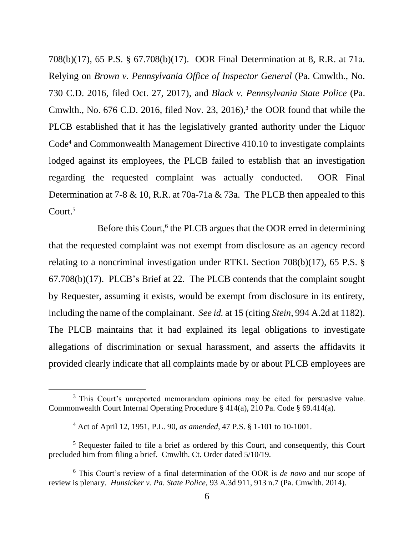708(b)(17), 65 P.S. § 67.708(b)(17). OOR Final Determination at 8, R.R. at 71a. Relying on *Brown v. Pennsylvania Office of Inspector General* (Pa. Cmwlth., No. 730 C.D. 2016, filed Oct. 27, 2017), and *Black v. Pennsylvania State Police* (Pa. Cmwlth., No.  $676$  C.D. 2016, filed Nov. 23, 2016),<sup>3</sup> the OOR found that while the PLCB established that it has the legislatively granted authority under the Liquor Code<sup>4</sup> and Commonwealth Management Directive 410.10 to investigate complaints lodged against its employees, the PLCB failed to establish that an investigation regarding the requested complaint was actually conducted. OOR Final Determination at 7-8 & 10, R.R. at 70a-71a & 73a. The PLCB then appealed to this Court.<sup>5</sup>

Before this Court,<sup>6</sup> the PLCB argues that the OOR erred in determining that the requested complaint was not exempt from disclosure as an agency record relating to a noncriminal investigation under RTKL Section 708(b)(17), 65 P.S. § 67.708(b)(17). PLCB's Brief at 22. The PLCB contends that the complaint sought by Requester, assuming it exists, would be exempt from disclosure in its entirety, including the name of the complainant. *See id.* at 15 (citing *Stein*, 994 A.2d at 1182). The PLCB maintains that it had explained its legal obligations to investigate allegations of discrimination or sexual harassment, and asserts the affidavits it provided clearly indicate that all complaints made by or about PLCB employees are

<sup>&</sup>lt;sup>3</sup> This Court's unreported memorandum opinions may be cited for persuasive value. Commonwealth Court Internal Operating Procedure § 414(a), 210 Pa. Code § 69.414(a).

<sup>4</sup> Act of April 12, 1951, P.L. 90, *as amended*, 47 P.S. § 1-101 to 10-1001.

<sup>5</sup> Requester failed to file a brief as ordered by this Court, and consequently, this Court precluded him from filing a brief. Cmwlth. Ct. Order dated 5/10/19.

<sup>6</sup> This Court's review of a final determination of the OOR is *de novo* and our scope of review is plenary. *Hunsicker v. Pa. State Police*, 93 A.3d 911, 913 n.7 (Pa. Cmwlth. 2014).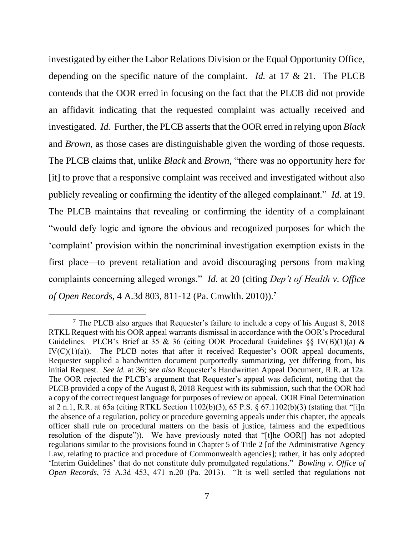investigated by either the Labor Relations Division or the Equal Opportunity Office, depending on the specific nature of the complaint. *Id.* at 17 & 21. The PLCB contends that the OOR erred in focusing on the fact that the PLCB did not provide an affidavit indicating that the requested complaint was actually received and investigated. *Id.* Further, the PLCB asserts that the OOR erred in relying upon *Black* and *Brown*, as those cases are distinguishable given the wording of those requests. The PLCB claims that, unlike *Black* and *Brown*, "there was no opportunity here for [it] to prove that a responsive complaint was received and investigated without also publicly revealing or confirming the identity of the alleged complainant." *Id.* at 19. The PLCB maintains that revealing or confirming the identity of a complainant "would defy logic and ignore the obvious and recognized purposes for which the 'complaint' provision within the noncriminal investigation exemption exists in the first place—to prevent retaliation and avoid discouraging persons from making complaints concerning alleged wrongs." *Id.* at 20 (citing *Dep't of Health v. Office of Open Records*, 4 A.3d 803, 811-12 (Pa. Cmwlth. 2010)).<sup>7</sup>

 $<sup>7</sup>$  The PLCB also argues that Requester's failure to include a copy of his August 8, 2018</sup> RTKL Request with his OOR appeal warrants dismissal in accordance with the OOR's Procedural Guidelines. PLCB's Brief at 35 & 36 (citing OOR Procedural Guidelines  $\S$ § IV(B)(1)(a) &  $IV(C)(1)(a)$ . The PLCB notes that after it received Requester's OOR appeal documents, Requester supplied a handwritten document purportedly summarizing, yet differing from, his initial Request. *See id.* at 36; *see also* Requester's Handwritten Appeal Document, R.R. at 12a. The OOR rejected the PLCB's argument that Requester's appeal was deficient, noting that the PLCB provided a copy of the August 8, 2018 Request with its submission, such that the OOR had a copy of the correct request language for purposes of review on appeal. OOR Final Determination at 2 n.1, R.R. at 65a (citing RTKL Section 1102(b)(3), 65 P.S. § 67.1102(b)(3) (stating that "[i]n the absence of a regulation, policy or procedure governing appeals under this chapter, the appeals officer shall rule on procedural matters on the basis of justice, fairness and the expeditious resolution of the dispute")). We have previously noted that "[t]he OOR[] has not adopted regulations similar to the provisions found in Chapter 5 of Title 2 [of the Administrative Agency Law, relating to practice and procedure of Commonwealth agencies]; rather, it has only adopted 'Interim Guidelines' that do not constitute duly promulgated regulations." *Bowling v. Office of Open Records*, 75 A.3d 453, 471 n.20 (Pa. 2013). "It is well settled that regulations not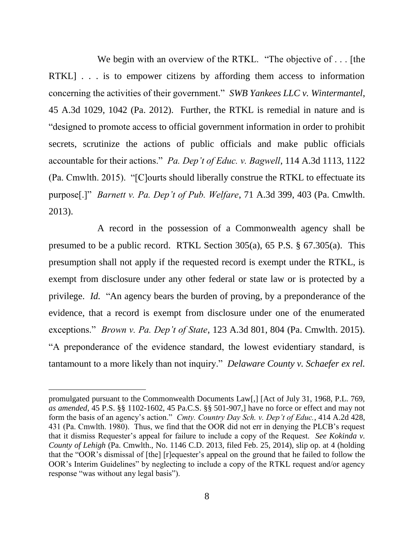We begin with an overview of the RTKL. "The objective of . . . [the RTKL] . . . is to empower citizens by affording them access to information concerning the activities of their government." *SWB Yankees LLC v. Wintermantel*, 45 A.3d 1029, 1042 (Pa. 2012). Further, the RTKL is remedial in nature and is "designed to promote access to official government information in order to prohibit secrets, scrutinize the actions of public officials and make public officials accountable for their actions." *Pa. Dep't of Educ. v. Bagwell*, 114 A.3d 1113, 1122 (Pa. Cmwlth. 2015). "[C]ourts should liberally construe the RTKL to effectuate its purpose[.]" *Barnett v. Pa. Dep't of Pub. Welfare*, 71 A.3d 399, 403 (Pa. Cmwlth. 2013).

A record in the possession of a Commonwealth agency shall be presumed to be a public record. RTKL Section 305(a), 65 P.S. § 67.305(a). This presumption shall not apply if the requested record is exempt under the RTKL, is exempt from disclosure under any other federal or state law or is protected by a privilege. *Id.* "An agency bears the burden of proving, by a preponderance of the evidence, that a record is exempt from disclosure under one of the enumerated exceptions." *Brown v. Pa. Dep't of State*, 123 A.3d 801, 804 (Pa. Cmwlth. 2015). "A preponderance of the evidence standard, the lowest evidentiary standard, is tantamount to a more likely than not inquiry." *Delaware County v. Schaefer ex rel.* 

promulgated pursuant to the Commonwealth Documents Law[,] [Act of July 31, 1968, P.L. 769, *as amended*, 45 P.S. §§ 1102-1602, 45 Pa.C.S. §§ 501-907,] have no force or effect and may not form the basis of an agency's action." *Cmty. Country Day Sch. v. Dep't of Educ.*, 414 A.2d 428, 431 (Pa. Cmwlth. 1980). Thus, we find that the OOR did not err in denying the PLCB's request that it dismiss Requester's appeal for failure to include a copy of the Request. *See Kokinda v. County of Lehigh* (Pa. Cmwlth., No. 1146 C.D. 2013, filed Feb. 25, 2014), slip op. at 4 (holding that the "OOR's dismissal of [the] [r]equester's appeal on the ground that he failed to follow the OOR's Interim Guidelines" by neglecting to include a copy of the RTKL request and/or agency response "was without any legal basis").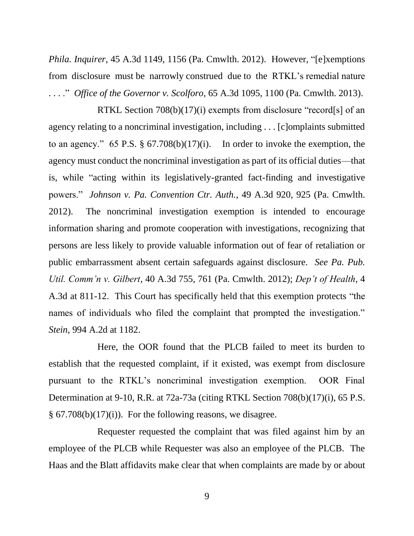*Phila. Inquirer*, 45 A.3d 1149, 1156 (Pa. Cmwlth. 2012). However, "[e]xemptions from disclosure must be narrowly construed due to the RTKL's remedial nature . . . ." *Office of the Governor v. Scolforo*, 65 A.3d 1095, 1100 (Pa. Cmwlth. 2013).

RTKL Section 708(b)(17)(i) exempts from disclosure "record[s] of an agency relating to a noncriminal investigation, including . . . [c]omplaints submitted to an agency." 65 P.S. § 67.708(b)(17)(i). In order to invoke the exemption, the agency must conduct the noncriminal investigation as part of its official duties—that is, while "acting within its legislatively-granted fact-finding and investigative powers." *Johnson v. Pa. Convention Ctr. Auth.*, 49 A.3d 920, 925 (Pa. Cmwlth. 2012). The noncriminal investigation exemption is intended to encourage information sharing and promote cooperation with investigations, recognizing that persons are less likely to provide valuable information out of fear of retaliation or public embarrassment absent certain safeguards against disclosure. *See Pa. Pub. Util. Comm'n v. Gilbert*, 40 A.3d 755, 761 (Pa. Cmwlth. 2012); *Dep't of Health*, 4 A.3d at 811-12. This Court has specifically held that this exemption protects "the names of individuals who filed the complaint that prompted the investigation." *Stein*, 994 A.2d at 1182.

Here, the OOR found that the PLCB failed to meet its burden to establish that the requested complaint, if it existed, was exempt from disclosure pursuant to the RTKL's noncriminal investigation exemption. OOR Final Determination at 9-10, R.R. at 72a-73a (citing RTKL Section 708(b)(17)(i), 65 P.S.  $\S$  67.708(b)(17)(i)). For the following reasons, we disagree.

Requester requested the complaint that was filed against him by an employee of the PLCB while Requester was also an employee of the PLCB. The Haas and the Blatt affidavits make clear that when complaints are made by or about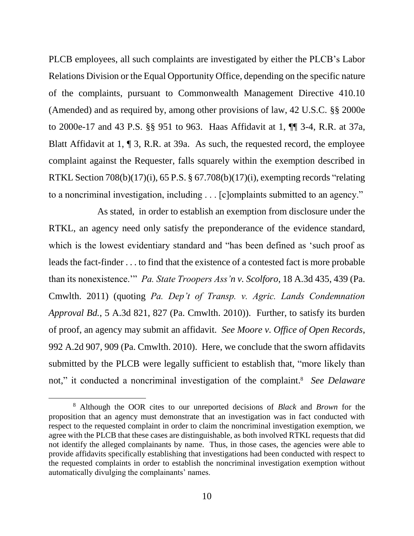PLCB employees, all such complaints are investigated by either the PLCB's Labor Relations Division or the Equal Opportunity Office, depending on the specific nature of the complaints, pursuant to Commonwealth Management Directive 410.10 (Amended) and as required by, among other provisions of law, 42 U.S.C. §§ 2000e to 2000e-17 and 43 P.S. §§ 951 to 963. Haas Affidavit at 1, ¶¶ 3-4, R.R. at 37a, Blatt Affidavit at 1, ¶ 3, R.R. at 39a. As such, the requested record, the employee complaint against the Requester, falls squarely within the exemption described in RTKL Section 708(b)(17)(i), 65 P.S. § 67.708(b)(17)(i), exempting records "relating to a noncriminal investigation, including . . . [c]omplaints submitted to an agency."

As stated, in order to establish an exemption from disclosure under the RTKL, an agency need only satisfy the preponderance of the evidence standard, which is the lowest evidentiary standard and "has been defined as 'such proof as leads the fact-finder . . . to find that the existence of a contested fact is more probable than its nonexistence.'" *Pa. State Troopers Ass'n v. Scolforo*, 18 A.3d 435, 439 (Pa. Cmwlth. 2011) (quoting *Pa. Dep't of Transp. v. Agric. Lands Condemnation Approval Bd.*, 5 A.3d 821, 827 (Pa. Cmwlth. 2010)). Further, to satisfy its burden of proof, an agency may submit an affidavit. *See Moore v. Office of Open Records*, 992 A.2d 907, 909 (Pa. Cmwlth. 2010). Here, we conclude that the sworn affidavits submitted by the PLCB were legally sufficient to establish that, "more likely than not," it conducted a noncriminal investigation of the complaint. <sup>8</sup> *See Delaware* 

l

<sup>8</sup> Although the OOR cites to our unreported decisions of *Black* and *Brown* for the proposition that an agency must demonstrate that an investigation was in fact conducted with respect to the requested complaint in order to claim the noncriminal investigation exemption, we agree with the PLCB that these cases are distinguishable, as both involved RTKL requests that did not identify the alleged complainants by name. Thus, in those cases, the agencies were able to provide affidavits specifically establishing that investigations had been conducted with respect to the requested complaints in order to establish the noncriminal investigation exemption without automatically divulging the complainants' names.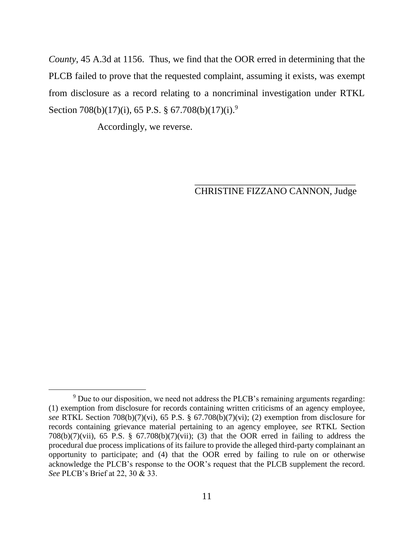*County*, 45 A.3d at 1156. Thus, we find that the OOR erred in determining that the PLCB failed to prove that the requested complaint, assuming it exists, was exempt from disclosure as a record relating to a noncriminal investigation under RTKL Section 708(b)(17)(i), 65 P.S. § 67.708(b)(17)(i).<sup>9</sup>

Accordingly, we reverse.

#### \_\_\_\_\_\_\_\_\_\_\_\_\_\_\_\_\_\_\_\_\_\_\_\_\_\_\_\_\_\_\_\_\_\_ CHRISTINE FIZZANO CANNON, Judge

 $\overline{a}$  $9$  Due to our disposition, we need not address the PLCB's remaining arguments regarding: (1) exemption from disclosure for records containing written criticisms of an agency employee, *see* RTKL Section 708(b)(7)(vi), 65 P.S. § 67.708(b)(7)(vi); (2) exemption from disclosure for records containing grievance material pertaining to an agency employee, *see* RTKL Section 708(b)(7)(vii), 65 P.S. § 67.708(b)(7)(vii); (3) that the OOR erred in failing to address the procedural due process implications of its failure to provide the alleged third-party complainant an opportunity to participate; and (4) that the OOR erred by failing to rule on or otherwise acknowledge the PLCB's response to the OOR's request that the PLCB supplement the record. *See* PLCB's Brief at 22, 30 & 33.